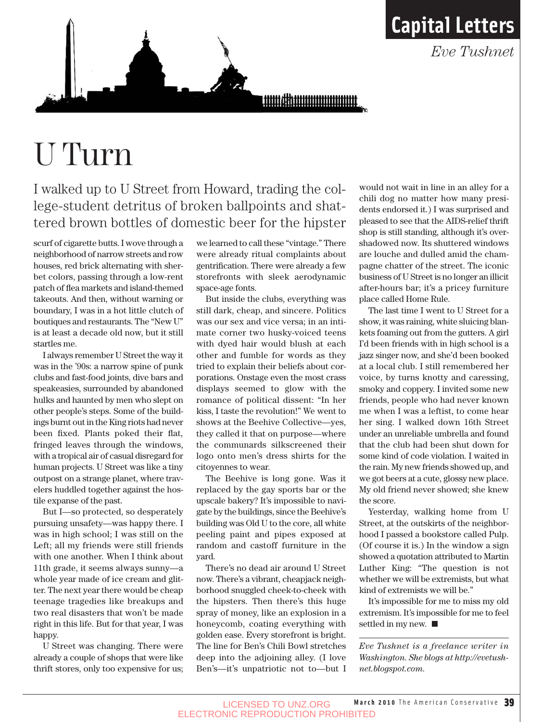

<u>umahuunuunuut </u>

## U Turn

I walked up to U Street from Howard, trading the college-student detritus of broken ballpoints and shattered brown bottles of domestic beer for the hipster

scurf of cigarette butts. I wove through a neighborhood of narrow streets and row houses, red brick alternating with sherbet colors, passing through a low-rent patch of flea markets and island-themed takeouts. And then, without warning or boundary, I was in a hot little clutch of boutiques and restaurants. The "New U" is at least a decade old now, but it still startles me.

I always remember U Street the way it was in the '90s: a narrow spine of punk clubs and fast-food joints, dive bars and speakeasies, surrounded by abandoned hulks and haunted by men who slept on other people's steps. Some of the buildings burnt out in the King riots had never been fixed. Plants poked their flat, fringed leaves through the windows, with a tropical air of casual disregard for human projects. U Street was like a tiny outpost on a strange planet, where travelers huddled together against the hostile expanse of the past.

But I—so protected, so desperately pursuing unsafety—was happy there. I was in high school; I was still on the Left; all my friends were still friends with one another. When I think about 11th grade, it seems always sunny—a whole year made of ice cream and glitter. The next year there would be cheap teenage tragedies like breakups and two real disasters that won't be made right in this life. But for that year, I was happy.

U Street was changing. There were already a couple of shops that were like thrift stores, only too expensive for us; we learned to call these "vintage." There were already ritual complaints about gentrification. There were already a few storefronts with sleek aerodynamic space-age fonts.

But inside the clubs, everything was still dark, cheap, and sincere. Politics was our sex and vice versa; in an intimate corner two husky-voiced teens with dyed hair would blush at each other and fumble for words as they tried to explain their beliefs about corporations. Onstage even the most crass displays seemed to glow with the romance of political dissent: "In her kiss, I taste the revolution!" We went to shows at the Beehive Collective—yes, they called it that on purpose—where the communards silkscreened their logo onto men's dress shirts for the citoyennes to wear.

The Beehive is long gone. Was it replaced by the gay sports bar or the upscale bakery? It's impossible to navigate by the buildings, since the Beehive's building was Old U to the core, all white peeling paint and pipes exposed at random and castoff furniture in the yard.

There's no dead air around U Street now. There's a vibrant, cheapjack neighborhood snuggled cheek-to-cheek with the hipsters. Then there's this huge spray of money, like an explosion in a honeycomb, coating everything with golden ease. Every storefront is bright. The line for Ben's Chili Bowl stretches deep into the adjoining alley. (I love Ben's—it's unpatriotic not to—but I

would not wait in line in an alley for a chili dog no matter how many presidents endorsed it.) I was surprised and pleased to see that the AIDS-relief thrift shop is still standing, although it's overshadowed now. Its shuttered windows are louche and dulled amid the champagne chatter of the street. The iconic business of U Street is no longer an illicit after-hours bar; it's a pricey furniture place called Home Rule.

**Capital Letters**

*Eve Tushnet* 

The last time I went to U Street for a show, it was raining, white sluicing blankets foaming out from the gutters. A girl I'd been friends with in high school is a jazz singer now, and she'd been booked at a local club. I still remembered her voice, by turns knotty and caressing, smoky and coppery. I invited some new friends, people who had never known me when I was a leftist, to come hear her sing. I walked down 16th Street under an unreliable umbrella and found that the club had been shut down for some kind of code violation. I waited in the rain. My new friends showed up, and we got beers at a cute, glossy new place. My old friend never showed; she knew the score.

Yesterday, walking home from U Street, at the outskirts of the neighborhood I passed a bookstore called Pulp. (Of course it is.) In the window a sign showed a quotation attributed to Martin Luther King: "The question is not whether we will be extremists, but what kind of extremists we will be."

It's impossible for me to miss my old extremism. It's impossible for me to feel settled in my new.

*Eve Tushnet is a freelance writer in Washington. She blogs at http://evetushnet.blogspot.com.*